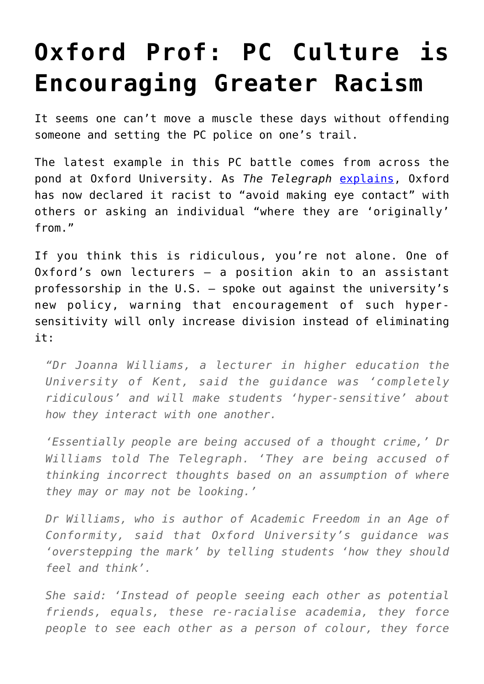## **[Oxford Prof: PC Culture is](https://intellectualtakeout.org/2017/04/oxford-prof-pc-culture-is-encouraging-greater-racism/) [Encouraging Greater Racism](https://intellectualtakeout.org/2017/04/oxford-prof-pc-culture-is-encouraging-greater-racism/)**

It seems one can't move a muscle these days without offending someone and setting the PC police on one's trail.

The latest example in this PC battle comes from across the pond at Oxford University. As *The Telegraph* [explains](http://www.telegraph.co.uk/education/2017/04/22/students-avoid-making-eye-contact-could-guiltyof-racism-oxford/?WT.mc_id=tmg_share_tw), Oxford has now declared it racist to "avoid making eye contact" with others or asking an individual "where they are 'originally' from."

If you think this is ridiculous, you're not alone. One of Oxford's own lecturers – a position akin to an assistant professorship in the U.S. – spoke out against the university's new policy, warning that encouragement of such hypersensitivity will only increase division instead of eliminating it:

*"Dr Joanna Williams, a lecturer in higher education the University of Kent, said the guidance was 'completely ridiculous' and will make students 'hyper-sensitive' about how they interact with one another.*

*'Essentially people are being accused of a thought crime,' Dr Williams told The Telegraph. 'They are being accused of thinking incorrect thoughts based on an assumption of where they may or may not be looking.'*

*Dr Williams, who is author of Academic Freedom in an Age of Conformity, said that Oxford University's guidance was 'overstepping the mark' by telling students 'how they should feel and think'.*

*She said: 'Instead of people seeing each other as potential friends, equals, these re-racialise academia, they force people to see each other as a person of colour, they force*